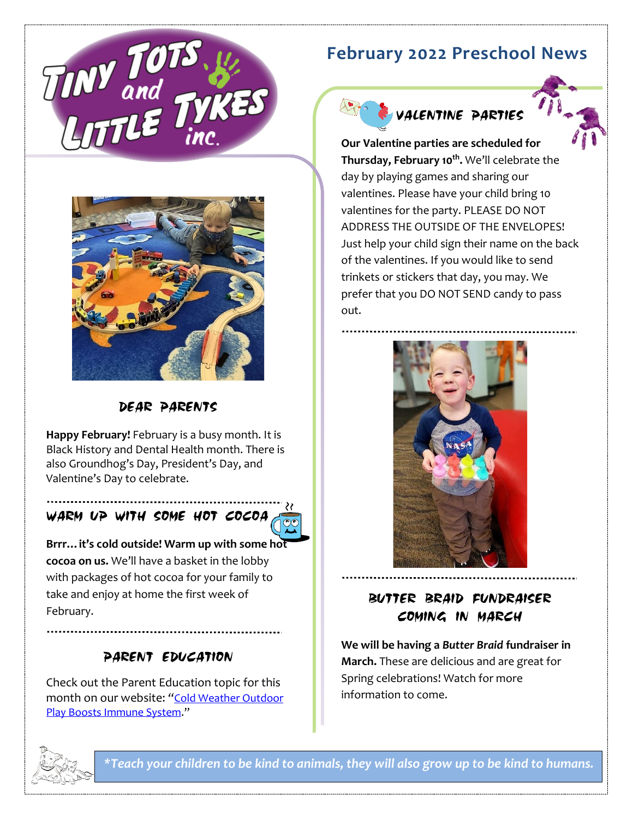

## **February 2022 Preschool News**



VALENTINE PARTIES



DEAR PARENTS

**Happy February!** February is a busy month. It is Black History and Dental Health month. There is also Groundhog's Day, President's Day, and Valentine's Day to celebrate.

## WARM UP WITH SOME HOT COCOA



**Brrr…it's cold outside! Warm up with some hot cocoa on us.** We'll have a basket in the lobby with packages of hot cocoa for your family to take and enjoy at home the first week of February.

## PARENT EDUCATION

Check out the Parent Education topic for this month on our website: *"*[Cold Weather Outdoor](https://www.med.upenn.edu/antibiotics/newsletters/2017_5.1_January.pdf)  [Play Boosts Immune System](https://www.med.upenn.edu/antibiotics/newsletters/2017_5.1_January.pdf)."

**Our Valentine parties are scheduled for Thursday, February 10th .** We'll celebrate the day by playing games and sharing our valentines. Please have your child bring 10 valentines for the party. PLEASE DO NOT ADDRESS THE OUTSIDE OF THE ENVELOPES! Just help your child sign their name on the back of the valentines. If you would like to send trinkets or stickers that day, you may. We prefer that you DO NOT SEND candy to pass out.



BUTTER BRAID FUNDRAISER COMING IN MARCH

**We will be having a** *Butter Braid* **fundraiser in March.** These are delicious and are great for Spring celebrations! Watch for more information to come.



*\*Teach your children to be kind to animals, they will also grow up to be kind to humans.*